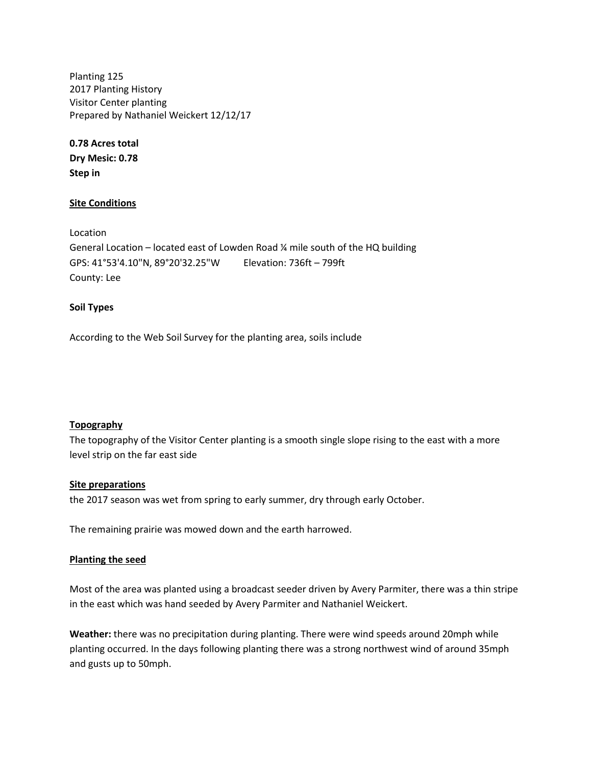Planting 125 2017 Planting History Visitor Center planting Prepared by Nathaniel Weickert 12/12/17

**0.78 Acres total Dry Mesic: 0.78 Step in**

## **Site Conditions**

Location General Location – located east of Lowden Road  $\frac{1}{4}$  mile south of the HQ building GPS: 41°53'4.10"N, 89°20'32.25"W Elevation: 736ft – 799ft County: Lee

### **Soil Types**

According to the Web Soil Survey for the planting area, soils include

## **Topography**

The topography of the Visitor Center planting is a smooth single slope rising to the east with a more level strip on the far east side

#### **Site preparations**

the 2017 season was wet from spring to early summer, dry through early October.

The remaining prairie was mowed down and the earth harrowed.

#### **Planting the seed**

Most of the area was planted using a broadcast seeder driven by Avery Parmiter, there was a thin stripe in the east which was hand seeded by Avery Parmiter and Nathaniel Weickert.

**Weather:** there was no precipitation during planting. There were wind speeds around 20mph while planting occurred. In the days following planting there was a strong northwest wind of around 35mph and gusts up to 50mph.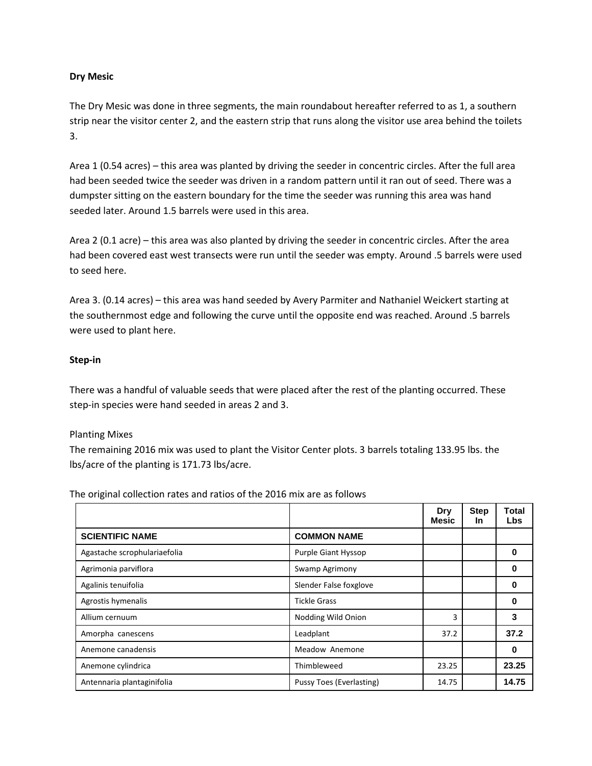## **Dry Mesic**

The Dry Mesic was done in three segments, the main roundabout hereafter referred to as 1, a southern strip near the visitor center 2, and the eastern strip that runs along the visitor use area behind the toilets 3.

Area 1 (0.54 acres) – this area was planted by driving the seeder in concentric circles. After the full area had been seeded twice the seeder was driven in a random pattern until it ran out of seed. There was a dumpster sitting on the eastern boundary for the time the seeder was running this area was hand seeded later. Around 1.5 barrels were used in this area.

Area 2 (0.1 acre) – this area was also planted by driving the seeder in concentric circles. After the area had been covered east west transects were run until the seeder was empty. Around .5 barrels were used to seed here.

Area 3. (0.14 acres) – this area was hand seeded by Avery Parmiter and Nathaniel Weickert starting at the southernmost edge and following the curve until the opposite end was reached. Around .5 barrels were used to plant here.

## **Step-in**

There was a handful of valuable seeds that were placed after the rest of the planting occurred. These step-in species were hand seeded in areas 2 and 3.

## Planting Mixes

The remaining 2016 mix was used to plant the Visitor Center plots. 3 barrels totaling 133.95 lbs. the lbs/acre of the planting is 171.73 lbs/acre.

The original collection rates and ratios of the 2016 mix are as follows

|                              |                          | <b>Dry</b><br>Mesic | <b>Step</b><br><b>In</b> | Total<br><b>Lbs</b> |
|------------------------------|--------------------------|---------------------|--------------------------|---------------------|
| <b>SCIENTIFIC NAME</b>       | <b>COMMON NAME</b>       |                     |                          |                     |
| Agastache scrophulariaefolia | Purple Giant Hyssop      |                     |                          | 0                   |
| Agrimonia parviflora         | Swamp Agrimony           |                     |                          | 0                   |
| Agalinis tenuifolia          | Slender False foxglove   |                     |                          | 0                   |
| Agrostis hymenalis           | <b>Tickle Grass</b>      |                     |                          | 0                   |
| Allium cernuum               | Nodding Wild Onion       | 3                   |                          | 3                   |
| Amorpha canescens            | Leadplant                | 37.2                |                          | 37.2                |
| Anemone canadensis           | Meadow Anemone           |                     |                          | 0                   |
| Anemone cylindrica           | Thimbleweed              | 23.25               |                          | 23.25               |
| Antennaria plantaginifolia   | Pussy Toes (Everlasting) | 14.75               |                          | 14.75               |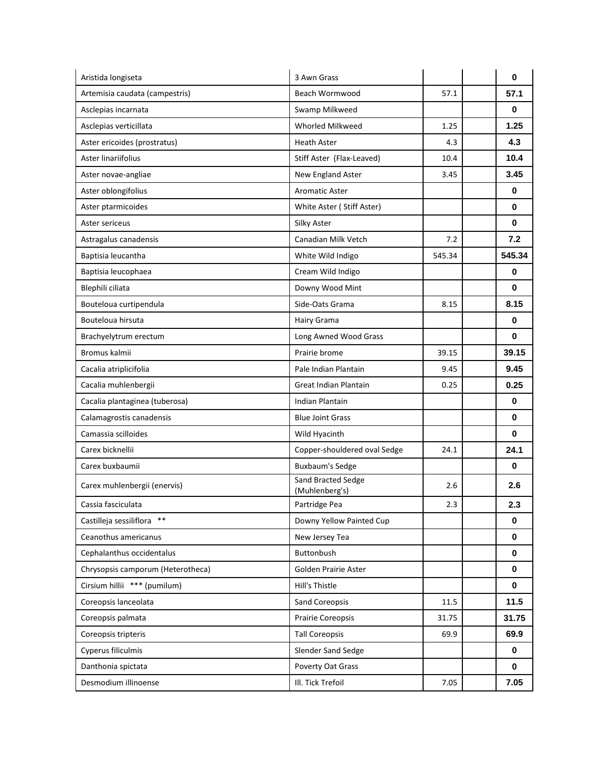| Aristida longiseta                | 3 Awn Grass                          |        | $\bf{0}$    |
|-----------------------------------|--------------------------------------|--------|-------------|
| Artemisia caudata (campestris)    | Beach Wormwood                       | 57.1   | 57.1        |
| Asclepias incarnata               | Swamp Milkweed                       |        | 0           |
| Asclepias verticillata            | Whorled Milkweed                     | 1.25   | 1.25        |
| Aster ericoides (prostratus)      | <b>Heath Aster</b>                   | 4.3    | 4.3         |
| Aster linariifolius               | Stiff Aster (Flax-Leaved)            | 10.4   | 10.4        |
| Aster novae-angliae               | New England Aster                    | 3.45   | 3.45        |
| Aster oblongifolius               | <b>Aromatic Aster</b>                |        | 0           |
| Aster ptarmicoides                | White Aster (Stiff Aster)            |        | 0           |
| Aster sericeus                    | Silky Aster                          |        | $\mathbf 0$ |
| Astragalus canadensis             | Canadian Milk Vetch                  | 7.2    | 7.2         |
| Baptisia leucantha                | White Wild Indigo                    | 545.34 | 545.34      |
| Baptisia leucophaea               | Cream Wild Indigo                    |        | 0           |
| Blephili ciliata                  | Downy Wood Mint                      |        | 0           |
| Bouteloua curtipendula            | Side-Oats Grama                      | 8.15   | 8.15        |
| Bouteloua hirsuta                 | Hairy Grama                          |        | 0           |
| Brachyelytrum erectum             | Long Awned Wood Grass                |        | $\mathbf 0$ |
| Bromus kalmii                     | Prairie brome                        | 39.15  | 39.15       |
| Cacalia atriplicifolia            | Pale Indian Plantain                 | 9.45   | 9.45        |
| Cacalia muhlenbergii              | Great Indian Plantain                | 0.25   | 0.25        |
| Cacalia plantaginea (tuberosa)    | <b>Indian Plantain</b>               |        | 0           |
| Calamagrostis canadensis          | <b>Blue Joint Grass</b>              |        | $\bf{0}$    |
| Camassia scilloides               | Wild Hyacinth                        |        | 0           |
| Carex bicknellii                  | Copper-shouldered oval Sedge         | 24.1   | 24.1        |
| Carex buxbaumii                   | <b>Buxbaum's Sedge</b>               |        | $\bf{0}$    |
| Carex muhlenbergii (enervis)      | Sand Bracted Sedge<br>(Muhlenberg's) | 2.6    | 2.6         |
| Cassia fasciculata                | Partridge Pea                        | 2.3    | 2.3         |
| Castilleja sessiliflora **        | Downy Yellow Painted Cup             |        | 0           |
| Ceanothus americanus              | New Jersey Tea                       |        | $\mathbf 0$ |
| Cephalanthus occidentalus         | Buttonbush                           |        | 0           |
| Chrysopsis camporum (Heterotheca) | Golden Prairie Aster                 |        | 0           |
| Cirsium hillii *** (pumilum)      | Hill's Thistle                       |        | $\mathbf 0$ |
| Coreopsis lanceolata              | Sand Coreopsis                       | 11.5   | 11.5        |
| Coreopsis palmata                 | Prairie Coreopsis                    | 31.75  | 31.75       |
| Coreopsis tripteris               | <b>Tall Coreopsis</b>                | 69.9   | 69.9        |
| Cyperus filiculmis                | Slender Sand Sedge                   |        | 0           |
| Danthonia spictata                | Poverty Oat Grass                    |        | 0           |
| Desmodium illinoense              | III. Tick Trefoil                    | 7.05   | 7.05        |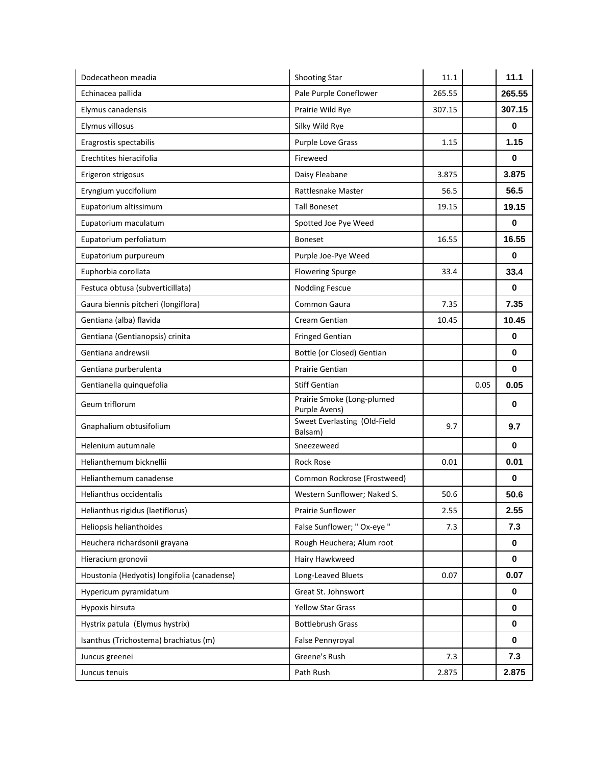| Dodecatheon meadia                          | Shooting Star                               | 11.1   |      | 11.1        |
|---------------------------------------------|---------------------------------------------|--------|------|-------------|
| Echinacea pallida                           | Pale Purple Coneflower                      | 265.55 |      | 265.55      |
| Elymus canadensis                           | Prairie Wild Rye                            | 307.15 |      | 307.15      |
| Elymus villosus                             | Silky Wild Rye                              |        |      | $\bf{0}$    |
| Eragrostis spectabilis                      | Purple Love Grass                           | 1.15   |      | 1.15        |
| Erechtites hieracifolia                     | Fireweed                                    |        |      | 0           |
| Erigeron strigosus                          | Daisy Fleabane                              | 3.875  |      | 3.875       |
| Eryngium yuccifolium                        | Rattlesnake Master                          | 56.5   |      | 56.5        |
| Eupatorium altissimum                       | <b>Tall Boneset</b>                         | 19.15  |      | 19.15       |
| Eupatorium maculatum                        | Spotted Joe Pye Weed                        |        |      | $\mathbf 0$ |
| Eupatorium perfoliatum                      | Boneset                                     | 16.55  |      | 16.55       |
| Eupatorium purpureum                        | Purple Joe-Pye Weed                         |        |      | $\bf{0}$    |
| Euphorbia corollata                         | <b>Flowering Spurge</b>                     | 33.4   |      | 33.4        |
| Festuca obtusa (subverticillata)            | <b>Nodding Fescue</b>                       |        |      | 0           |
| Gaura biennis pitcheri (longiflora)         | Common Gaura                                | 7.35   |      | 7.35        |
| Gentiana (alba) flavida                     | Cream Gentian                               | 10.45  |      | 10.45       |
| Gentiana (Gentianopsis) crinita             | <b>Fringed Gentian</b>                      |        |      | $\bf{0}$    |
| Gentiana andrewsii                          | Bottle (or Closed) Gentian                  |        |      | 0           |
| Gentiana purberulenta                       | Prairie Gentian                             |        |      | $\bf{0}$    |
|                                             |                                             |        |      |             |
| Gentianella quinquefolia                    | <b>Stiff Gentian</b>                        |        | 0.05 | 0.05        |
| Geum triflorum                              | Prairie Smoke (Long-plumed<br>Purple Avens) |        |      | $\bf{0}$    |
| Gnaphalium obtusifolium                     | Sweet Everlasting (Old-Field<br>Balsam)     | 9.7    |      | 9.7         |
| Helenium autumnale                          | Sneezeweed                                  |        |      | $\bf{0}$    |
| Helianthemum bicknellii                     | <b>Rock Rose</b>                            | 0.01   |      | 0.01        |
| Helianthemum canadense                      | Common Rockrose (Frostweed)                 |        |      | $\pmb{0}$   |
| Helianthus occidentalis                     | Western Sunflower; Naked S.                 | 50.6   |      | 50.6        |
| Helianthus rigidus (laetiflorus)            | Prairie Sunflower                           | 2.55   |      | 2.55        |
| Heliopsis helianthoides                     | False Sunflower; " Ox-eye "                 | 7.3    |      | 7.3         |
| Heuchera richardsonii grayana               | Rough Heuchera; Alum root                   |        |      | $\mathbf 0$ |
| Hieracium gronovii                          | Hairy Hawkweed                              |        |      | 0           |
| Houstonia (Hedyotis) longifolia (canadense) | Long-Leaved Bluets                          | 0.07   |      | 0.07        |
| Hypericum pyramidatum                       | Great St. Johnswort                         |        |      | $\bf{0}$    |
| Hypoxis hirsuta                             | <b>Yellow Star Grass</b>                    |        |      | $\bf{0}$    |
| Hystrix patula (Elymus hystrix)             | <b>Bottlebrush Grass</b>                    |        |      | $\mathbf 0$ |
| Isanthus (Trichostema) brachiatus (m)       | False Pennyroyal                            |        |      | 0           |
| Juncus greenei                              | Greene's Rush                               | 7.3    |      | 7.3         |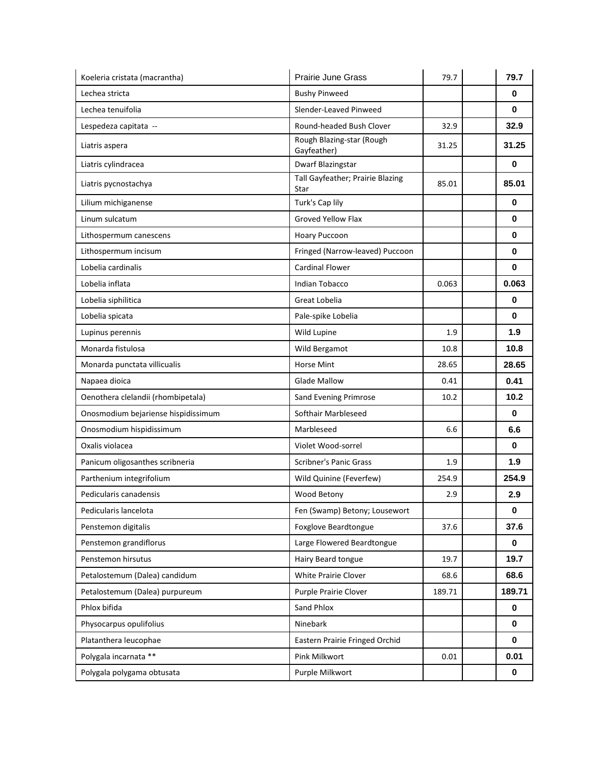| Koeleria cristata (macrantha)       | Prairie June Grass                       | 79.7   | 79.7        |
|-------------------------------------|------------------------------------------|--------|-------------|
| Lechea stricta                      | <b>Bushy Pinweed</b>                     |        | 0           |
| Lechea tenuifolia                   | Slender-Leaved Pinweed                   |        | 0           |
| Lespedeza capitata --               | Round-headed Bush Clover                 | 32.9   | 32.9        |
| Liatris aspera                      | Rough Blazing-star (Rough<br>Gayfeather) | 31.25  | 31.25       |
| Liatris cylindracea                 | Dwarf Blazingstar                        |        | 0           |
| Liatris pycnostachya                | Tall Gayfeather; Prairie Blazing<br>Star | 85.01  | 85.01       |
| Lilium michiganense                 | Turk's Cap lily                          |        | 0           |
| Linum sulcatum                      | <b>Groved Yellow Flax</b>                |        | 0           |
| Lithospermum canescens              | <b>Hoary Puccoon</b>                     |        | 0           |
| Lithospermum incisum                | Fringed (Narrow-leaved) Puccoon          |        | $\bf{0}$    |
| Lobelia cardinalis                  | <b>Cardinal Flower</b>                   |        | 0           |
| Lobelia inflata                     | <b>Indian Tobacco</b>                    | 0.063  | 0.063       |
| Lobelia siphilitica                 | Great Lobelia                            |        | 0           |
| Lobelia spicata                     | Pale-spike Lobelia                       |        | $\bf{0}$    |
| Lupinus perennis                    | Wild Lupine                              | 1.9    | 1.9         |
| Monarda fistulosa                   | Wild Bergamot                            | 10.8   | 10.8        |
| Monarda punctata villicualis        | <b>Horse Mint</b>                        | 28.65  | 28.65       |
| Napaea dioica                       | <b>Glade Mallow</b>                      | 0.41   | 0.41        |
| Oenothera clelandii (rhombipetala)  | Sand Evening Primrose                    | 10.2   | 10.2        |
| Onosmodium bejariense hispidissimum | Softhair Marbleseed                      |        | 0           |
| Onosmodium hispidissimum            | Marbleseed                               | 6.6    | 6.6         |
| Oxalis violacea                     | Violet Wood-sorrel                       |        | 0           |
| Panicum oligosanthes scribneria     | <b>Scribner's Panic Grass</b>            | 1.9    | 1.9         |
| Parthenium integrifolium            | Wild Quinine (Feverfew)                  | 254.9  | 254.9       |
| Pedicularis canadensis              | Wood Betony                              | 2.9    | 2.9         |
| Pedicularis lancelota               | Fen (Swamp) Betony; Lousewort            |        | $\bf{0}$    |
| Penstemon digitalis                 | Foxglove Beardtongue                     | 37.6   | 37.6        |
| Penstemon grandiflorus              | Large Flowered Beardtongue               |        | $\bf{0}$    |
| Penstemon hirsutus                  | Hairy Beard tongue                       | 19.7   | 19.7        |
| Petalostemum (Dalea) candidum       | White Prairie Clover                     | 68.6   | 68.6        |
| Petalostemum (Dalea) purpureum      | Purple Prairie Clover                    | 189.71 | 189.71      |
| Phlox bifida                        | Sand Phlox                               |        | $\bf{0}$    |
| Physocarpus opulifolius             | Ninebark                                 |        | $\bf{0}$    |
| Platanthera leucophae               | Eastern Prairie Fringed Orchid           |        | 0           |
| Polygala incarnata **               | Pink Milkwort                            | 0.01   | 0.01        |
| Polygala polygama obtusata          | Purple Milkwort                          |        | $\mathbf 0$ |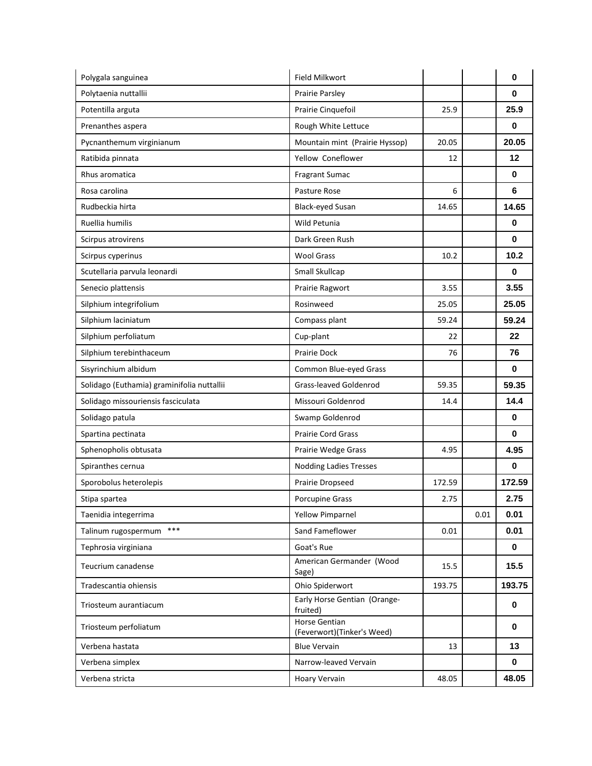| Polygala sanguinea                         | Field Milkwort                              |        |      | 0           |
|--------------------------------------------|---------------------------------------------|--------|------|-------------|
| Polytaenia nuttallii                       | Prairie Parsley                             |        |      | 0           |
| Potentilla arguta                          | Prairie Cinquefoil                          | 25.9   |      | 25.9        |
| Prenanthes aspera                          | Rough White Lettuce                         |        |      | 0           |
| Pycnanthemum virginianum                   | Mountain mint (Prairie Hyssop)              | 20.05  |      | 20.05       |
| Ratibida pinnata                           | Yellow Coneflower                           | 12     |      | 12          |
| Rhus aromatica                             | Fragrant Sumac                              |        |      | 0           |
| Rosa carolina                              | Pasture Rose                                | 6      |      | 6           |
| Rudbeckia hirta                            | <b>Black-eyed Susan</b>                     | 14.65  |      | 14.65       |
| Ruellia humilis                            | Wild Petunia                                |        |      | $\bf{0}$    |
| Scirpus atrovirens                         | Dark Green Rush                             |        |      | 0           |
| Scirpus cyperinus                          | <b>Wool Grass</b>                           | 10.2   |      | 10.2        |
| Scutellaria parvula leonardi               | Small Skullcap                              |        |      | $\bf{0}$    |
| Senecio plattensis                         | Prairie Ragwort                             | 3.55   |      | 3.55        |
| Silphium integrifolium                     | Rosinweed                                   | 25.05  |      | 25.05       |
| Silphium laciniatum                        | Compass plant                               | 59.24  |      | 59.24       |
| Silphium perfoliatum                       | Cup-plant                                   | 22     |      | 22          |
| Silphium terebinthaceum                    | <b>Prairie Dock</b>                         | 76     |      | 76          |
| Sisyrinchium albidum                       | Common Blue-eyed Grass                      |        |      | 0           |
| Solidago (Euthamia) graminifolia nuttallii | Grass-leaved Goldenrod                      | 59.35  |      | 59.35       |
| Solidago missouriensis fasciculata         | Missouri Goldenrod                          | 14.4   |      | 14.4        |
| Solidago patula                            | Swamp Goldenrod                             |        |      | $\mathbf 0$ |
| Spartina pectinata                         | <b>Prairie Cord Grass</b>                   |        |      | 0           |
| Sphenopholis obtusata                      | Prairie Wedge Grass                         | 4.95   |      | 4.95        |
| Spiranthes cernua                          | <b>Nodding Ladies Tresses</b>               |        |      | $\bf{0}$    |
| Sporobolus heterolepis                     | Prairie Dropseed                            | 172.59 |      | 172.59      |
| Stipa spartea                              | <b>Porcupine Grass</b>                      | 2.75   |      | 2.75        |
| Taenidia integerrima                       | <b>Yellow Pimparnel</b>                     |        | 0.01 | 0.01        |
| $***$<br>Talinum rugospermum               | Sand Fameflower                             | 0.01   |      | 0.01        |
| Tephrosia virginiana                       | Goat's Rue                                  |        |      | 0           |
| Teucrium canadense                         | American Germander (Wood<br>Sage)           | 15.5   |      | 15.5        |
| Tradescantia ohiensis                      | Ohio Spiderwort                             | 193.75 |      | 193.75      |
| Triosteum aurantiacum                      | Early Horse Gentian (Orange-<br>fruited)    |        |      | 0           |
| Triosteum perfoliatum                      | Horse Gentian<br>(Feverwort)(Tinker's Weed) |        |      | 0           |
| Verbena hastata                            | <b>Blue Vervain</b>                         | 13     |      | 13          |
| Verbena simplex                            | Narrow-leaved Vervain                       |        |      | 0           |
| Verbena stricta                            | Hoary Vervain                               | 48.05  |      | 48.05       |